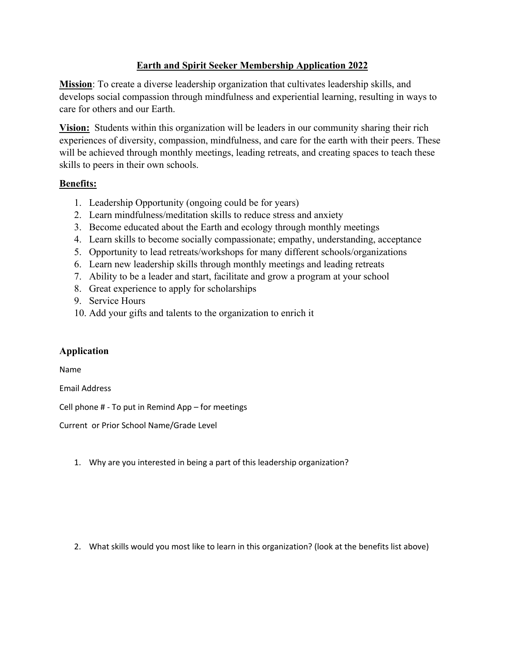## **Earth and Spirit Seeker Membership Application 2022**

**Mission**: To create a diverse leadership organization that cultivates leadership skills, and develops social compassion through mindfulness and experiential learning, resulting in ways to care for others and our Earth.

**Vision:** Students within this organization will be leaders in our community sharing their rich experiences of diversity, compassion, mindfulness, and care for the earth with their peers. These will be achieved through monthly meetings, leading retreats, and creating spaces to teach these skills to peers in their own schools.

## **Benefits:**

- 1. Leadership Opportunity (ongoing could be for years)
- 2. Learn mindfulness/meditation skills to reduce stress and anxiety
- 3. Become educated about the Earth and ecology through monthly meetings
- 4. Learn skills to become socially compassionate; empathy, understanding, acceptance
- 5. Opportunity to lead retreats/workshops for many different schools/organizations
- 6. Learn new leadership skills through monthly meetings and leading retreats
- 7. Ability to be a leader and start, facilitate and grow a program at your school
- 8. Great experience to apply for scholarships
- 9. Service Hours
- 10. Add your gifts and talents to the organization to enrich it

## **Application**

Name

Email Address

Cell phone # - To put in Remind App – for meetings

Current or Prior School Name/Grade Level

1. Why are you interested in being a part of this leadership organization?

2. What skills would you most like to learn in this organization? (look at the benefits list above)